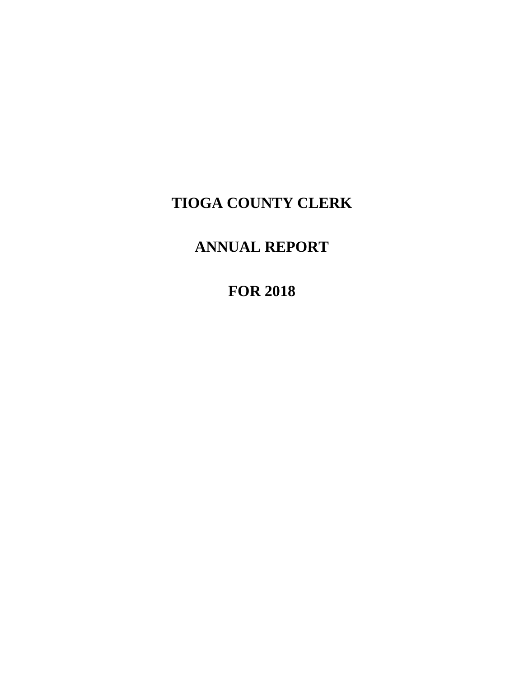# **TIOGA COUNTY CLERK**

# **ANNUAL REPORT**

**FOR 2018**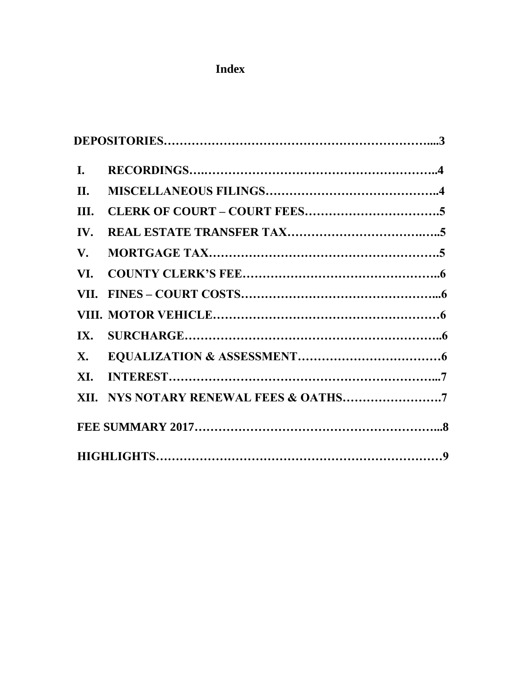# **Index**

| L.                     |                                       |  |
|------------------------|---------------------------------------|--|
| II.                    |                                       |  |
| III.                   |                                       |  |
| IV.                    |                                       |  |
| $\mathbf{V}_{\bullet}$ |                                       |  |
| VI.                    |                                       |  |
|                        |                                       |  |
|                        |                                       |  |
| IX.                    |                                       |  |
| <b>X</b> .             |                                       |  |
| XI.                    |                                       |  |
|                        | XII. NYS NOTARY RENEWAL FEES & OATHS7 |  |
|                        |                                       |  |
|                        |                                       |  |
|                        |                                       |  |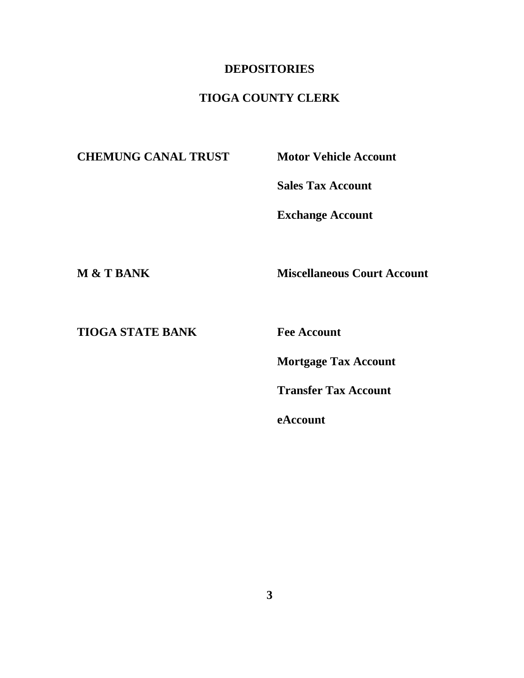#### **DEPOSITORIES**

## **TIOGA COUNTY CLERK**

**CHEMUNG CANAL TRUST Motor Vehicle Account**

**Sales Tax Account**

**Exchange Account**

**M & T BANK Miscellaneous Court Account**

**TIOGA STATE BANK Fee Account**

**Mortgage Tax Account**

**Transfer Tax Account**

**eAccount**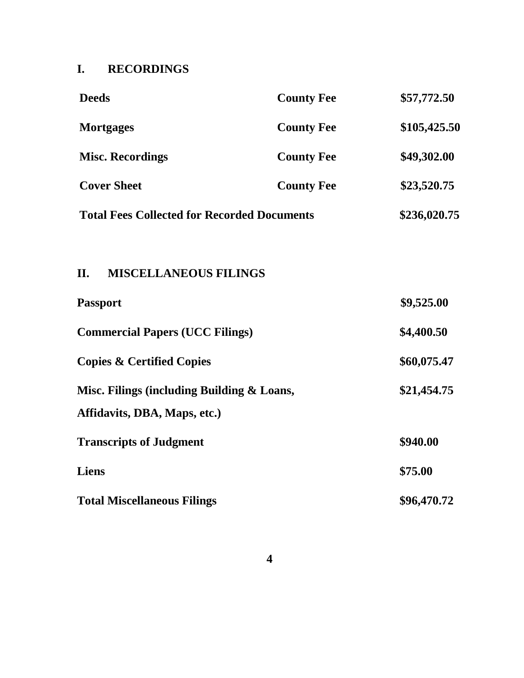# **I. RECORDINGS**

| <b>County Fee</b> | \$57,772.50                                                                                                                      |
|-------------------|----------------------------------------------------------------------------------------------------------------------------------|
| <b>County Fee</b> | \$105,425.50                                                                                                                     |
| <b>County Fee</b> | \$49,302.00                                                                                                                      |
| <b>County Fee</b> | \$23,520.75                                                                                                                      |
|                   | \$236,020.75                                                                                                                     |
|                   |                                                                                                                                  |
|                   |                                                                                                                                  |
|                   | \$9,525.00                                                                                                                       |
|                   | \$4,400.50                                                                                                                       |
|                   | \$60,075.47                                                                                                                      |
|                   | \$21,454.75                                                                                                                      |
|                   |                                                                                                                                  |
|                   | \$940.00                                                                                                                         |
|                   | \$75.00                                                                                                                          |
|                   | \$96,470.72                                                                                                                      |
|                   | <b>Total Fees Collected for Recorded Documents</b><br><b>MISCELLANEOUS FILINGS</b><br>Misc. Filings (including Building & Loans, |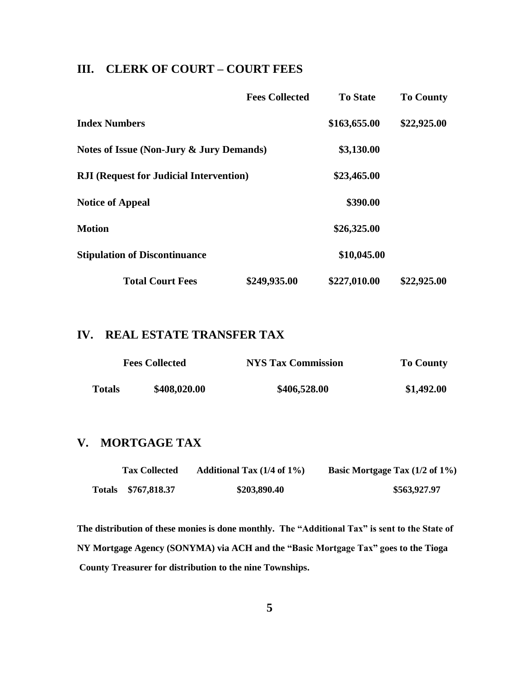### **III. CLERK OF COURT – COURT FEES**

|                                                | <b>Fees Collected</b> | <b>To State</b> | <b>To County</b> |
|------------------------------------------------|-----------------------|-----------------|------------------|
| <b>Index Numbers</b>                           |                       | \$163,655.00    | \$22,925.00      |
| Notes of Issue (Non-Jury & Jury Demands)       |                       | \$3,130.00      |                  |
| <b>RJI</b> (Request for Judicial Intervention) |                       | \$23,465.00     |                  |
| <b>Notice of Appeal</b>                        |                       | \$390.00        |                  |
| <b>Motion</b>                                  |                       | \$26,325.00     |                  |
| <b>Stipulation of Discontinuance</b>           |                       | \$10,045.00     |                  |
| <b>Total Court Fees</b>                        | \$249,935.00          | \$227,010.00    | \$22,925.00      |

#### **IV. REAL ESTATE TRANSFER TAX**

|               | <b>Fees Collected</b> | <b>NYS Tax Commission</b> | <b>To County</b> |
|---------------|-----------------------|---------------------------|------------------|
| <b>Totals</b> | \$408,020.00          | \$406,528.00              | \$1,492.00       |

#### **V. MORTGAGE TAX**

| <b>Tax Collected</b> | Additional Tax $(1/4$ of $1\%)$ | Basic Mortgage Tax (1/2 of 1%) |
|----------------------|---------------------------------|--------------------------------|
| Totals \$767,818.37  | \$203,890.40                    | \$563,927.97                   |

**The distribution of these monies is done monthly. The "Additional Tax" is sent to the State of NY Mortgage Agency (SONYMA) via ACH and the "Basic Mortgage Tax" goes to the Tioga County Treasurer for distribution to the nine Townships.**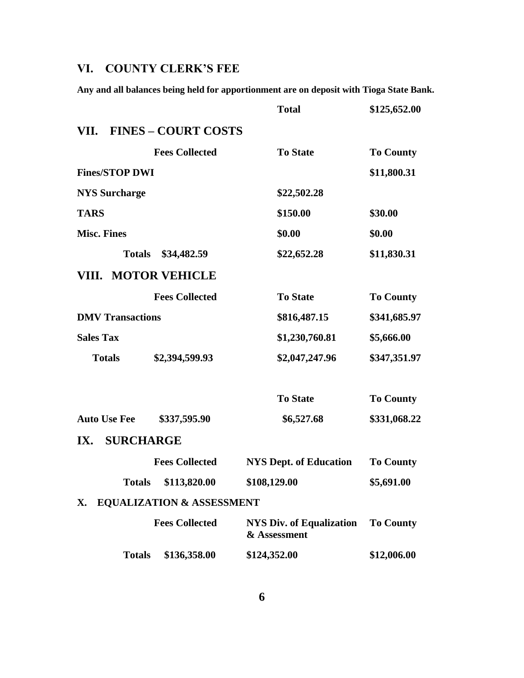## **VI. COUNTY CLERK'S FEE**

**Any and all balances being held for apportionment are on deposit with Tioga State Bank.**

|                         |                                      | <b>Total</b>                                    | \$125,652.00     |
|-------------------------|--------------------------------------|-------------------------------------------------|------------------|
| VII.                    | <b>FINES – COURT COSTS</b>           |                                                 |                  |
|                         | <b>Fees Collected</b>                | <b>To State</b>                                 | <b>To County</b> |
| <b>Fines/STOP DWI</b>   |                                      |                                                 | \$11,800.31      |
| <b>NYS Surcharge</b>    |                                      | \$22,502.28                                     |                  |
| <b>TARS</b>             |                                      | \$150.00                                        | \$30.00          |
| <b>Misc. Fines</b>      |                                      | \$0.00                                          | \$0.00           |
| <b>Totals</b>           | \$34,482.59                          | \$22,652.28                                     | \$11,830.31      |
| VIII. MOTOR VEHICLE     |                                      |                                                 |                  |
|                         | <b>Fees Collected</b>                | <b>To State</b>                                 | <b>To County</b> |
| <b>DMV Transactions</b> |                                      | \$816,487.15                                    | \$341,685.97     |
| <b>Sales Tax</b>        |                                      | \$1,230,760.81                                  | \$5,666.00       |
| <b>Totals</b>           | \$2,394,599.93                       | \$2,047,247.96                                  | \$347,351.97     |
|                         |                                      | <b>To State</b>                                 | <b>To County</b> |
| <b>Auto Use Fee</b>     | \$337,595.90                         | \$6,527.68                                      | \$331,068.22     |
| <b>SURCHARGE</b><br>IX. |                                      |                                                 |                  |
|                         | <b>Fees Collected</b>                | <b>NYS Dept. of Education</b>                   | <b>To County</b> |
| <b>Totals</b>           | \$113,820.00                         | \$108,129.00                                    | \$5,691.00       |
| X.                      | <b>EQUALIZATION &amp; ASSESSMENT</b> |                                                 |                  |
|                         | <b>Fees Collected</b>                | <b>NYS Div. of Equalization</b><br>& Assessment | <b>To County</b> |
| <b>Totals</b>           | \$136,358.00                         | \$124,352.00                                    | \$12,006.00      |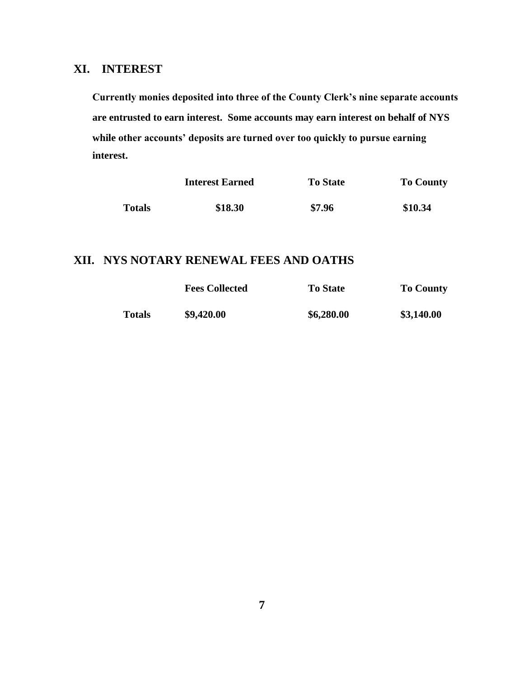### **XI. INTEREST**

**Currently monies deposited into three of the County Clerk's nine separate accounts are entrusted to earn interest. Some accounts may earn interest on behalf of NYS while other accounts' deposits are turned over too quickly to pursue earning interest.** 

|               | <b>Interest Earned</b> | <b>To State</b> | <b>To County</b> |
|---------------|------------------------|-----------------|------------------|
| <b>Totals</b> | \$18.30                | \$7.96          | \$10.34          |

#### **XII. NYS NOTARY RENEWAL FEES AND OATHS**

|               | <b>Fees Collected</b> | <b>To State</b> | <b>To County</b> |
|---------------|-----------------------|-----------------|------------------|
| <b>Totals</b> | \$9,420.00            | \$6,280.00      | \$3,140.00       |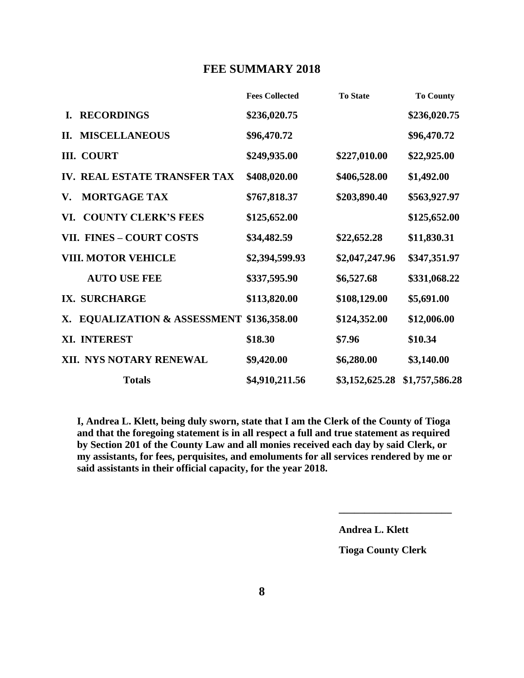#### **FEE SUMMARY 2018**

|    |                                                   | <b>Fees Collected</b> | <b>To State</b> | <b>To County</b> |
|----|---------------------------------------------------|-----------------------|-----------------|------------------|
| L. | <b>RECORDINGS</b>                                 | \$236,020.75          |                 | \$236,020.75     |
| П. | <b>MISCELLANEOUS</b>                              | \$96,470.72           |                 | \$96,470.72      |
|    | <b>III. COURT</b>                                 | \$249,935.00          | \$227,010.00    | \$22,925.00      |
|    | IV. REAL ESTATE TRANSFER TAX                      | \$408,020.00          | \$406,528.00    | \$1,492.00       |
| V. | <b>MORTGAGE TAX</b>                               | \$767,818.37          | \$203,890.40    | \$563,927.97     |
|    | VI. COUNTY CLERK'S FEES                           | \$125,652.00          |                 | \$125,652.00     |
|    | <b>VII. FINES - COURT COSTS</b>                   | \$34,482.59           | \$22,652.28     | \$11,830.31      |
|    | <b>VIII. MOTOR VEHICLE</b>                        | \$2,394,599.93        | \$2,047,247.96  | \$347,351.97     |
|    | <b>AUTO USE FEE</b>                               | \$337,595.90          | \$6,527.68      | \$331,068.22     |
|    | IX. SURCHARGE                                     | \$113,820.00          | \$108,129.00    | \$5,691.00       |
| Х. | <b>EQUALIZATION &amp; ASSESSMENT \$136,358.00</b> |                       | \$124,352.00    | \$12,006.00      |
|    | XI. INTEREST                                      | \$18.30               | \$7.96          | \$10.34          |
|    | XII. NYS NOTARY RENEWAL                           | \$9,420.00            | \$6,280.00      | \$3,140.00       |
|    | <b>Totals</b>                                     | \$4,910,211.56        | \$3,152,625.28  | \$1,757,586.28   |

 **I, Andrea L. Klett, being duly sworn, state that I am the Clerk of the County of Tioga and that the foregoing statement is in all respect a full and true statement as required by Section 201 of the County Law and all monies received each day by said Clerk, or my assistants, for fees, perquisites, and emoluments for all services rendered by me or said assistants in their official capacity, for the year 2018.**

**Andrea L. Klett**

**Tioga County Clerk**

**\_\_\_\_\_\_\_\_\_\_\_\_\_\_\_\_\_\_\_\_\_\_**